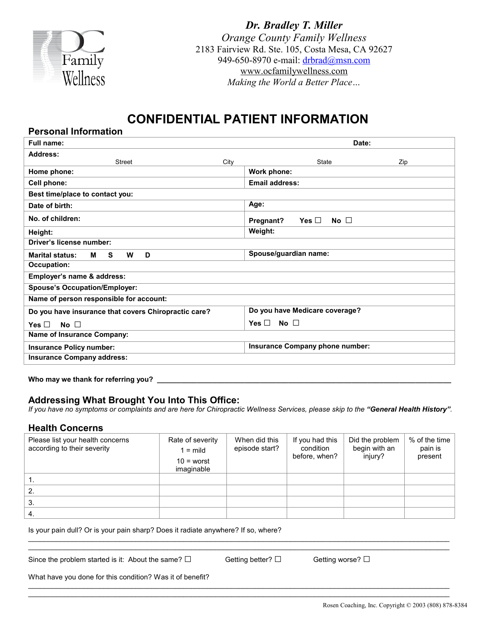

**Personal Information**

*Dr. Bradley T. Miller Orange County Family Wellness* 2183 Fairview Rd. Ste. 105, Costa Mesa, CA 92627 949-650-8970 e-mail: [drbrad@msn.com](mailto:drbrad@msn.com) [www.ocfamilywellness.com](http://www.ocfamilywellness.com/) *Making the World a Better Place…*

# **CONFIDENTIAL PATIENT INFORMATION**

| Full name:                                           | Date:                                |  |  |
|------------------------------------------------------|--------------------------------------|--|--|
| <b>Address:</b>                                      |                                      |  |  |
| <b>Street</b><br>City                                | State<br>Zip                         |  |  |
| Home phone:                                          | Work phone:                          |  |  |
| Cell phone:                                          | <b>Email address:</b>                |  |  |
| Best time/place to contact you:                      |                                      |  |  |
| Date of birth:                                       | Age:                                 |  |  |
| No. of children:                                     | Yes $\Box$<br>Pregnant?<br>No $\Box$ |  |  |
| Height:                                              | Weight:                              |  |  |
| Driver's license number:                             |                                      |  |  |
| <b>Marital status:</b><br>S.<br>D<br>W<br>м          | Spouse/guardian name:                |  |  |
| <b>Occupation:</b>                                   |                                      |  |  |
| Employer's name & address:                           |                                      |  |  |
| <b>Spouse's Occupation/Employer:</b>                 |                                      |  |  |
| Name of person responsible for account:              |                                      |  |  |
| Do you have insurance that covers Chiropractic care? | Do you have Medicare coverage?       |  |  |
| No $\Box$<br>Yes $\Box$                              | Yes $\Box$<br>No $\square$           |  |  |
| <b>Name of Insurance Company:</b>                    |                                      |  |  |
| Insurance Policy number:                             | Insurance Company phone number:      |  |  |
| <b>Insurance Company address:</b>                    |                                      |  |  |
|                                                      |                                      |  |  |

**Who may we thank for referring you? \_\_\_\_\_\_\_\_\_\_\_\_\_\_\_\_\_\_\_\_\_\_\_\_\_\_\_\_\_\_\_\_\_\_\_\_\_\_\_\_\_\_\_\_\_\_\_\_\_\_\_\_\_\_\_\_\_\_\_\_\_\_\_\_\_\_\_\_\_\_\_\_\_\_**

## **Addressing What Brought You Into This Office:**

If you have no symptoms or complaints and are here for Chiropractic Wellness Services, please skip to the "General Health History".

### **Health Concerns**

| Please list your health concerns<br>according to their severity | Rate of severity<br>$1 = \text{mild}$<br>$10 =$ worst<br>imaginable | When did this<br>episode start? | If you had this<br>condition<br>before, when? | Did the problem<br>begin with an<br>injury? | % of the time<br>pain is<br>present |
|-----------------------------------------------------------------|---------------------------------------------------------------------|---------------------------------|-----------------------------------------------|---------------------------------------------|-------------------------------------|
|                                                                 |                                                                     |                                 |                                               |                                             |                                     |
| 2.                                                              |                                                                     |                                 |                                               |                                             |                                     |
| 3.                                                              |                                                                     |                                 |                                               |                                             |                                     |
| 4.                                                              |                                                                     |                                 |                                               |                                             |                                     |

 $\mathcal{L}_\mathcal{L} = \{ \mathcal{L}_\mathcal{L} = \{ \mathcal{L}_\mathcal{L} = \{ \mathcal{L}_\mathcal{L} = \{ \mathcal{L}_\mathcal{L} = \{ \mathcal{L}_\mathcal{L} = \{ \mathcal{L}_\mathcal{L} = \{ \mathcal{L}_\mathcal{L} = \{ \mathcal{L}_\mathcal{L} = \{ \mathcal{L}_\mathcal{L} = \{ \mathcal{L}_\mathcal{L} = \{ \mathcal{L}_\mathcal{L} = \{ \mathcal{L}_\mathcal{L} = \{ \mathcal{L}_\mathcal{L} = \{ \mathcal{L}_\mathcal{$  $\mathcal{L}_\mathcal{L} = \{ \mathcal{L}_\mathcal{L} = \{ \mathcal{L}_\mathcal{L} = \{ \mathcal{L}_\mathcal{L} = \{ \mathcal{L}_\mathcal{L} = \{ \mathcal{L}_\mathcal{L} = \{ \mathcal{L}_\mathcal{L} = \{ \mathcal{L}_\mathcal{L} = \{ \mathcal{L}_\mathcal{L} = \{ \mathcal{L}_\mathcal{L} = \{ \mathcal{L}_\mathcal{L} = \{ \mathcal{L}_\mathcal{L} = \{ \mathcal{L}_\mathcal{L} = \{ \mathcal{L}_\mathcal{L} = \{ \mathcal{L}_\mathcal{$ 

 $\mathcal{L}_\mathcal{L} = \{ \mathcal{L}_\mathcal{L} = \{ \mathcal{L}_\mathcal{L} = \{ \mathcal{L}_\mathcal{L} = \{ \mathcal{L}_\mathcal{L} = \{ \mathcal{L}_\mathcal{L} = \{ \mathcal{L}_\mathcal{L} = \{ \mathcal{L}_\mathcal{L} = \{ \mathcal{L}_\mathcal{L} = \{ \mathcal{L}_\mathcal{L} = \{ \mathcal{L}_\mathcal{L} = \{ \mathcal{L}_\mathcal{L} = \{ \mathcal{L}_\mathcal{L} = \{ \mathcal{L}_\mathcal{L} = \{ \mathcal{L}_\mathcal{$  $\mathcal{L}_\mathcal{L} = \{ \mathcal{L}_\mathcal{L} = \{ \mathcal{L}_\mathcal{L} = \{ \mathcal{L}_\mathcal{L} = \{ \mathcal{L}_\mathcal{L} = \{ \mathcal{L}_\mathcal{L} = \{ \mathcal{L}_\mathcal{L} = \{ \mathcal{L}_\mathcal{L} = \{ \mathcal{L}_\mathcal{L} = \{ \mathcal{L}_\mathcal{L} = \{ \mathcal{L}_\mathcal{L} = \{ \mathcal{L}_\mathcal{L} = \{ \mathcal{L}_\mathcal{L} = \{ \mathcal{L}_\mathcal{L} = \{ \mathcal{L}_\mathcal{$ 

Is your pain dull? Or is your pain sharp? Does it radiate anywhere? If so, where?

Since the problem started is it: About the same?  $\square$  Getting better?  $\square$  Getting worse?  $\square$ 

What have you done for this condition? Was it of benefit?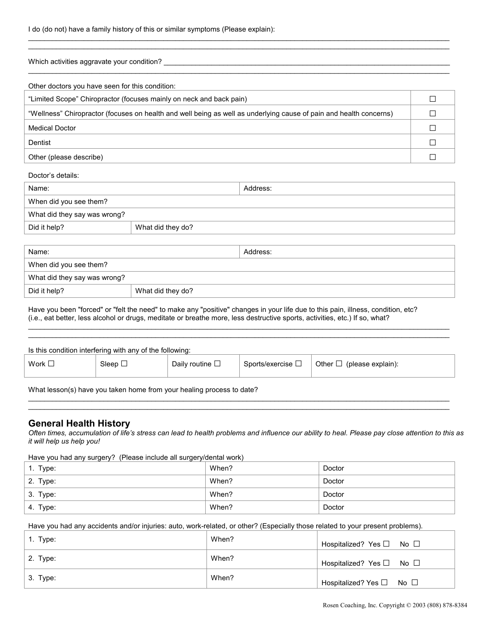| I do (do not) have a family history of this or similar symptoms (Please explain): |  |  |  |
|-----------------------------------------------------------------------------------|--|--|--|
|-----------------------------------------------------------------------------------|--|--|--|

| Which activities aggravate your condition?                                                                         |  |
|--------------------------------------------------------------------------------------------------------------------|--|
| Other doctors you have seen for this condition:                                                                    |  |
| "Limited Scope" Chiropractor (focuses mainly on neck and back pain)                                                |  |
| "Wellness" Chiropractor (focuses on health and well being as well as underlying cause of pain and health concerns) |  |
| <b>Medical Doctor</b>                                                                                              |  |

 $\mathcal{L}_\mathcal{L} = \{ \mathcal{L}_\mathcal{L} = \{ \mathcal{L}_\mathcal{L} = \{ \mathcal{L}_\mathcal{L} = \{ \mathcal{L}_\mathcal{L} = \{ \mathcal{L}_\mathcal{L} = \{ \mathcal{L}_\mathcal{L} = \{ \mathcal{L}_\mathcal{L} = \{ \mathcal{L}_\mathcal{L} = \{ \mathcal{L}_\mathcal{L} = \{ \mathcal{L}_\mathcal{L} = \{ \mathcal{L}_\mathcal{L} = \{ \mathcal{L}_\mathcal{L} = \{ \mathcal{L}_\mathcal{L} = \{ \mathcal{L}_\mathcal{$  $\mathcal{L}_\mathcal{L} = \{ \mathcal{L}_\mathcal{L} = \{ \mathcal{L}_\mathcal{L} = \{ \mathcal{L}_\mathcal{L} = \{ \mathcal{L}_\mathcal{L} = \{ \mathcal{L}_\mathcal{L} = \{ \mathcal{L}_\mathcal{L} = \{ \mathcal{L}_\mathcal{L} = \{ \mathcal{L}_\mathcal{L} = \{ \mathcal{L}_\mathcal{L} = \{ \mathcal{L}_\mathcal{L} = \{ \mathcal{L}_\mathcal{L} = \{ \mathcal{L}_\mathcal{L} = \{ \mathcal{L}_\mathcal{L} = \{ \mathcal{L}_\mathcal{$ 

Dentist  $\square$ 

Other (please describe)  $\Box$ 

Doctor's details:

| Name:                        |                   | Address: |
|------------------------------|-------------------|----------|
| When did you see them?       |                   |          |
| What did they say was wrong? |                   |          |
| Did it help?                 | What did they do? |          |

| Name:                        |                   | Address: |
|------------------------------|-------------------|----------|
| When did you see them?       |                   |          |
| What did they say was wrong? |                   |          |
| Did it help?                 | What did they do? |          |

Have you been "forced" or "felt the need" to make any "positive" changes in your life due to this pain, illness, condition, etc? (i.e., eat better, less alcohol or drugs, meditate or breathe more, less destructive sports, activities, etc.) If so, what?

| Is this condition interfering with any of the following: |              |                      |                                 |                                |  |
|----------------------------------------------------------|--------------|----------------------|---------------------------------|--------------------------------|--|
| Work $\square$                                           | Sleep $\Box$ | Daily routine $\Box$ | $\vdash$ Sports/exercise $\Box$ | Other $\Box$ (please explain): |  |
|                                                          |              |                      |                                 |                                |  |

 $\mathcal{L}_\mathcal{L} = \{ \mathcal{L}_\mathcal{L} = \{ \mathcal{L}_\mathcal{L} = \{ \mathcal{L}_\mathcal{L} = \{ \mathcal{L}_\mathcal{L} = \{ \mathcal{L}_\mathcal{L} = \{ \mathcal{L}_\mathcal{L} = \{ \mathcal{L}_\mathcal{L} = \{ \mathcal{L}_\mathcal{L} = \{ \mathcal{L}_\mathcal{L} = \{ \mathcal{L}_\mathcal{L} = \{ \mathcal{L}_\mathcal{L} = \{ \mathcal{L}_\mathcal{L} = \{ \mathcal{L}_\mathcal{L} = \{ \mathcal{L}_\mathcal{$  $\mathcal{L}_\mathcal{L} = \{ \mathcal{L}_\mathcal{L} = \{ \mathcal{L}_\mathcal{L} = \{ \mathcal{L}_\mathcal{L} = \{ \mathcal{L}_\mathcal{L} = \{ \mathcal{L}_\mathcal{L} = \{ \mathcal{L}_\mathcal{L} = \{ \mathcal{L}_\mathcal{L} = \{ \mathcal{L}_\mathcal{L} = \{ \mathcal{L}_\mathcal{L} = \{ \mathcal{L}_\mathcal{L} = \{ \mathcal{L}_\mathcal{L} = \{ \mathcal{L}_\mathcal{L} = \{ \mathcal{L}_\mathcal{L} = \{ \mathcal{L}_\mathcal{$ 

 $\mathcal{L}_\mathcal{L} = \{ \mathcal{L}_\mathcal{L} = \{ \mathcal{L}_\mathcal{L} = \{ \mathcal{L}_\mathcal{L} = \{ \mathcal{L}_\mathcal{L} = \{ \mathcal{L}_\mathcal{L} = \{ \mathcal{L}_\mathcal{L} = \{ \mathcal{L}_\mathcal{L} = \{ \mathcal{L}_\mathcal{L} = \{ \mathcal{L}_\mathcal{L} = \{ \mathcal{L}_\mathcal{L} = \{ \mathcal{L}_\mathcal{L} = \{ \mathcal{L}_\mathcal{L} = \{ \mathcal{L}_\mathcal{L} = \{ \mathcal{L}_\mathcal{$  $\mathcal{L}_\mathcal{L} = \{ \mathcal{L}_\mathcal{L} = \{ \mathcal{L}_\mathcal{L} = \{ \mathcal{L}_\mathcal{L} = \{ \mathcal{L}_\mathcal{L} = \{ \mathcal{L}_\mathcal{L} = \{ \mathcal{L}_\mathcal{L} = \{ \mathcal{L}_\mathcal{L} = \{ \mathcal{L}_\mathcal{L} = \{ \mathcal{L}_\mathcal{L} = \{ \mathcal{L}_\mathcal{L} = \{ \mathcal{L}_\mathcal{L} = \{ \mathcal{L}_\mathcal{L} = \{ \mathcal{L}_\mathcal{L} = \{ \mathcal{L}_\mathcal{$ 

What lesson(s) have you taken home from your healing process to date?

#### **General Health History**

Often times, accumulation of life's stress can lead to health problems and influence our ability to heal. Please pay close attention to this as *it will help us help you!*

Have you had any surgery? (Please include all surgery/dental work)

| 1. Type: | When? | Doctor |
|----------|-------|--------|
| 2. Type: | When? | Doctor |
| 3. Type: | When? | Doctor |
| 4. Type: | When? | Doctor |

Have you had any accidents and/or injuries: auto, work-related, or other? (Especially those related to your present problems).

| 1. Type:   | When? | Hospitalized? Yes □ No □                 |
|------------|-------|------------------------------------------|
| 2. Type:   | When? | Hospitalized? Yes $\square$ No $\square$ |
| $3.$ Type: | When? | Hospitalized? Yes $\square$ No $\square$ |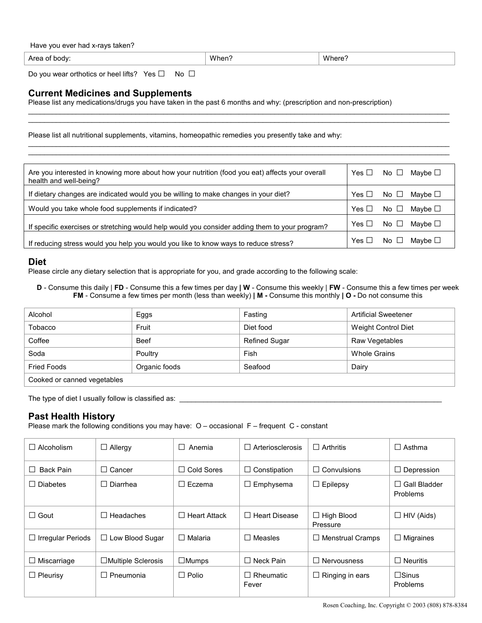| Have you ever had x-rays taken? |  |  |  |
|---------------------------------|--|--|--|
|---------------------------------|--|--|--|

| Area<br>าดตv | 1.01<br>\Mher<br>. ווטו | Wł<br>$\lambda$ |
|--------------|-------------------------|-----------------|
|              |                         |                 |

 $\mathcal{L}_\mathcal{L} = \{ \mathcal{L}_\mathcal{L} = \{ \mathcal{L}_\mathcal{L} = \{ \mathcal{L}_\mathcal{L} = \{ \mathcal{L}_\mathcal{L} = \{ \mathcal{L}_\mathcal{L} = \{ \mathcal{L}_\mathcal{L} = \{ \mathcal{L}_\mathcal{L} = \{ \mathcal{L}_\mathcal{L} = \{ \mathcal{L}_\mathcal{L} = \{ \mathcal{L}_\mathcal{L} = \{ \mathcal{L}_\mathcal{L} = \{ \mathcal{L}_\mathcal{L} = \{ \mathcal{L}_\mathcal{L} = \{ \mathcal{L}_\mathcal{$  $\mathcal{L}_\mathcal{L} = \{ \mathcal{L}_\mathcal{L} = \{ \mathcal{L}_\mathcal{L} = \{ \mathcal{L}_\mathcal{L} = \{ \mathcal{L}_\mathcal{L} = \{ \mathcal{L}_\mathcal{L} = \{ \mathcal{L}_\mathcal{L} = \{ \mathcal{L}_\mathcal{L} = \{ \mathcal{L}_\mathcal{L} = \{ \mathcal{L}_\mathcal{L} = \{ \mathcal{L}_\mathcal{L} = \{ \mathcal{L}_\mathcal{L} = \{ \mathcal{L}_\mathcal{L} = \{ \mathcal{L}_\mathcal{L} = \{ \mathcal{L}_\mathcal{$ 

 $\mathcal{L}_\mathcal{L} = \{ \mathcal{L}_\mathcal{L} = \{ \mathcal{L}_\mathcal{L} = \{ \mathcal{L}_\mathcal{L} = \{ \mathcal{L}_\mathcal{L} = \{ \mathcal{L}_\mathcal{L} = \{ \mathcal{L}_\mathcal{L} = \{ \mathcal{L}_\mathcal{L} = \{ \mathcal{L}_\mathcal{L} = \{ \mathcal{L}_\mathcal{L} = \{ \mathcal{L}_\mathcal{L} = \{ \mathcal{L}_\mathcal{L} = \{ \mathcal{L}_\mathcal{L} = \{ \mathcal{L}_\mathcal{L} = \{ \mathcal{L}_\mathcal{$  $\mathcal{L}_\mathcal{L} = \{ \mathcal{L}_\mathcal{L} = \{ \mathcal{L}_\mathcal{L} = \{ \mathcal{L}_\mathcal{L} = \{ \mathcal{L}_\mathcal{L} = \{ \mathcal{L}_\mathcal{L} = \{ \mathcal{L}_\mathcal{L} = \{ \mathcal{L}_\mathcal{L} = \{ \mathcal{L}_\mathcal{L} = \{ \mathcal{L}_\mathcal{L} = \{ \mathcal{L}_\mathcal{L} = \{ \mathcal{L}_\mathcal{L} = \{ \mathcal{L}_\mathcal{L} = \{ \mathcal{L}_\mathcal{L} = \{ \mathcal{L}_\mathcal{$ 

Do you wear orthotics or heel lifts? Yes □ No □

## **Current Medicines and Supplements**

Please list any medications/drugs you have taken in the past 6 months and why: (prescription and non-prescription)

Please list all nutritional supplements, vitamins, homeopathic remedies you presently take and why:

| Are you interested in knowing more about how your nutrition (food you eat) affects your overall<br>health and well-being? | Yes $\Box$ | No $\Box$    | Mavbe ⊡      |
|---------------------------------------------------------------------------------------------------------------------------|------------|--------------|--------------|
| If dietary changes are indicated would you be willing to make changes in your diet?                                       | Yes $\Box$ | No $\Box$    | Maybe $\Box$ |
| Would you take whole food supplements if indicated?                                                                       | Yes $\Box$ | No $\Box$    | Mavbe ⊡      |
| If specific exercises or stretching would help would you consider adding them to your program?                            | Yes $\Box$ | No $\Box$    | Maybe $□$    |
| If reducing stress would you help you would you like to know ways to reduce stress?                                       | Yes $\Box$ | No $\square$ | Maybe $\Box$ |

#### **Diet**

Please circle any dietary selection that is appropriate for you, and grade according to the following scale:

**D** - Consume this daily | **FD** - Consume this a few times per day **| W** - Consume this weekly | **FW** - Consume this a few times per week **FM** - Consume a few times per month (less than weekly) **| M -** Consume this monthly **| O -** Do not consume this

| Alcohol                     | Eggs          | Fasting       | <b>Artificial Sweetener</b> |  |  |
|-----------------------------|---------------|---------------|-----------------------------|--|--|
| Tobacco                     | Fruit         | Diet food     | Weight Control Diet         |  |  |
| Coffee                      | <b>Beef</b>   | Refined Sugar | Raw Vegetables              |  |  |
| Soda                        | Poultry       | Fish          | Whole Grains                |  |  |
| <b>Fried Foods</b>          | Organic foods | Seafood       | Dairy                       |  |  |
| Cooked or canned vegetables |               |               |                             |  |  |

The type of diet I usually follow is classified as:

#### **Past Health History**

Please mark the following conditions you may have: O – occasional F – frequent C - constant

| $\Box$ Alcoholism                            | $\Box$ Allergy            | П<br>Anemia                       | Arteriosclerosis                   | $\Box$ Arthritis                        | $\Box$ Asthma                      |
|----------------------------------------------|---------------------------|-----------------------------------|------------------------------------|-----------------------------------------|------------------------------------|
| <b>Back Pain</b><br>$\overline{\phantom{a}}$ | Cancer<br>$\perp$         | <b>Cold Sores</b><br>$\mathsf{L}$ | Constipation<br>$\Box$             | Convulsions<br>$\overline{\phantom{a}}$ | Depression<br>⊔                    |
| <b>Diabetes</b><br>$\perp$                   | Diarrhea<br>$\Box$        | $\Box$ Eczema                     | Emphysema                          | Epilepsy<br>ப                           | Gall Bladder<br>$\Box$<br>Problems |
| $\Box$ Gout                                  | Headaches                 | <b>Heart Attack</b><br>$\perp$    | <b>Heart Disease</b><br>ΙI         | $\Box$ High Blood<br>Pressure           | HIV (Aids)<br>$\Box$               |
| $\Box$ Irregular Periods                     | $\Box$ Low Blood Sugar    | $\Box$ Malaria                    | Measles<br>H                       | <b>Menstrual Cramps</b><br>$\Box$       | Migraines<br>⊔                     |
| $\Box$ Miscarriage                           | $\Box$ Multiple Sclerosis | $\Box$ Mumps                      | Neck Pain<br>$\mathsf{L}$          | <b>Nervousness</b><br>$\perp$           | $\Box$ Neuritis                    |
| $\Box$ Pleurisy                              | Pneumonia<br>$\Box$       | $\Box$ Polio                      | Rheumatic<br>$\mathsf{L}$<br>Fever | Ringing in ears<br>$\Box$               | $\Box$ Sinus<br>Problems           |